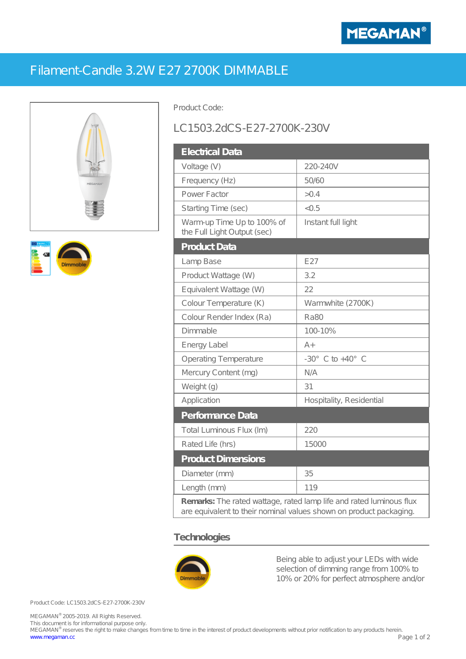

## Filament-Candle 3.2W E27 2700K DIMMABLE





Product Code:

## LC1503.2dCS-E27-2700K-230V

| <b>Electrical Data</b>                                                                                                                    |                                |
|-------------------------------------------------------------------------------------------------------------------------------------------|--------------------------------|
| Voltage (V)                                                                                                                               | 220-240V                       |
| Frequency (Hz)                                                                                                                            | 50/60                          |
| Power Factor                                                                                                                              | > 0.4                          |
| Starting Time (sec)                                                                                                                       | < 0.5                          |
| Warm-up Time Up to 100% of<br>the Full Light Output (sec)                                                                                 | Instant full light             |
| <b>Product Data</b>                                                                                                                       |                                |
| Lamp Base                                                                                                                                 | E 27                           |
| Product Wattage (W)                                                                                                                       | 3.2                            |
| Equivalent Wattage (W)                                                                                                                    | 22                             |
| Colour Temperature (K)                                                                                                                    | Warmwhite (2700K)              |
| Colour Render Index (Ra)                                                                                                                  | <b>Ra80</b>                    |
| Dimmable                                                                                                                                  | 100-10%                        |
| Energy Label                                                                                                                              | $A +$                          |
| Operating Temperature                                                                                                                     | $-30^\circ$ C to $+40^\circ$ C |
| Mercury Content (mg)                                                                                                                      | N/A                            |
| Weight (g)                                                                                                                                | 31                             |
| Application                                                                                                                               | Hospitality, Residential       |
| Performance Data                                                                                                                          |                                |
| Total Luminous Flux (Im)                                                                                                                  | 220                            |
| Rated Life (hrs)                                                                                                                          | 15000                          |
| <b>Product Dimensions</b>                                                                                                                 |                                |
| Diameter (mm)                                                                                                                             | 35                             |
| Length (mm)                                                                                                                               | 119                            |
| Remarks: The rated wattage, rated lamp life and rated luminous flux<br>are equivalent to their nominal values shown on product packaging. |                                |

## **Technologies**



Being able to adjust your LEDs with wide selection of dimming range from 100% to 10% or 20% for perfect atmosphere and/or

Product Code: LC1503.2dCS-E27-2700K-230V

MEGAMAN® 2005-2019. All Rights Reserved. This document is for informational purpose only.

MEGAMAN® reserves the right to make changes from time to time in the interest of product developments without prior notification to any products herein. [www.megaman.cc](http://www.megaman.cc) Page 1 of 2